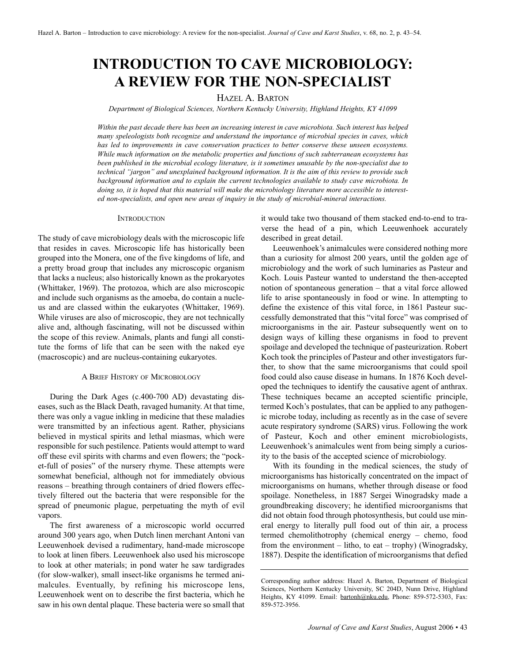# **INTRODUCTION TO CAVE MICROBIOLOGY: A REVIEW FOR THE NON-SPECIALIST**

# HAZEL A. BARTON

*Department of Biological Sciences, Northern Kentucky University, Highland Heights, KY 41099*

*Within the past decade there has been an increasing interest in cave microbiota. Such interest has helped many speleologists both recognize and understand the importance of microbial species in caves, which has led to improvements in cave conservation practices to better conserve these unseen ecosystems. While much information on the metabolic properties and functions of such subterranean ecosystems has been published in the microbial ecology literature, is it sometimes unusable by the non-specialist due to technical "jargon" and unexplained background information. It is the aim of this review to provide such background information and to explain the current technologies available to study cave microbiota. In doing so, it is hoped that this material will make the microbiology literature more accessible to interested non-specialists, and open new areas of inquiry in the study of microbial-mineral interactions.*

## **INTRODUCTION**

The study of cave microbiology deals with the microscopic life that resides in caves. Microscopic life has historically been grouped into the Monera, one of the five kingdoms of life, and a pretty broad group that includes any microscopic organism that lacks a nucleus; also historically known as the prokaryotes (Whittaker, 1969). The protozoa, which are also microscopic and include such organisms as the amoeba, do contain a nucleus and are classed within the eukaryotes (Whittaker, 1969). While viruses are also of microscopic, they are not technically alive and, although fascinating, will not be discussed within the scope of this review. Animals, plants and fungi all constitute the forms of life that can be seen with the naked eye (macroscopic) and are nucleus-containing eukaryotes.

#### A BRIEF HISTORY OF MICROBIOLOGY

During the Dark Ages (c.400-700 AD) devastating diseases, such as the Black Death, ravaged humanity. At that time, there was only a vague inkling in medicine that these maladies were transmitted by an infectious agent. Rather, physicians believed in mystical spirits and lethal miasmas, which were responsible for such pestilence. Patients would attempt to ward off these evil spirits with charms and even flowers; the "pocket-full of posies" of the nursery rhyme. These attempts were somewhat beneficial, although not for immediately obvious reasons – breathing through containers of dried flowers effectively filtered out the bacteria that were responsible for the spread of pneumonic plague, perpetuating the myth of evil vapors.

The first awareness of a microscopic world occurred around 300 years ago, when Dutch linen merchant Antoni van Leeuwenhoek devised a rudimentary, hand-made microscope to look at linen fibers. Leeuwenhoek also used his microscope to look at other materials; in pond water he saw tardigrades (for slow-walker), small insect-like organisms he termed animalcules. Eventually, by refining his microscope lens, Leeuwenhoek went on to describe the first bacteria, which he saw in his own dental plaque. These bacteria were so small that it would take two thousand of them stacked end-to-end to traverse the head of a pin, which Leeuwenhoek accurately described in great detail.

Leeuwenhoek's animalcules were considered nothing more than a curiosity for almost 200 years, until the golden age of microbiology and the work of such luminaries as Pasteur and Koch. Louis Pasteur wanted to understand the then-accepted notion of spontaneous generation – that a vital force allowed life to arise spontaneously in food or wine. In attempting to define the existence of this vital force, in 1861 Pasteur successfully demonstrated that this "vital force" was comprised of microorganisms in the air. Pasteur subsequently went on to design ways of killing these organisms in food to prevent spoilage and developed the technique of pasteurization. Robert Koch took the principles of Pasteur and other investigators further, to show that the same microorganisms that could spoil food could also cause disease in humans. In 1876 Koch developed the techniques to identify the causative agent of anthrax. These techniques became an accepted scientific principle, termed Koch's postulates, that can be applied to any pathogenic microbe today, including as recently as in the case of severe acute respiratory syndrome (SARS) virus. Following the work of Pasteur, Koch and other eminent microbiologists, Leeuwenhoek's animalcules went from being simply a curiosity to the basis of the accepted science of microbiology.

With its founding in the medical sciences, the study of microorganisms has historically concentrated on the impact of microorganisms on humans, whether through disease or food spoilage. Nonetheless, in 1887 Sergei Winogradsky made a groundbreaking discovery; he identified microorganisms that did not obtain food through photosynthesis, but could use mineral energy to literally pull food out of thin air, a process termed chemolithotrophy (chemical energy – chemo, food from the environment – litho, to eat – trophy) (Winogradsky, 1887). Despite the identification of microorganisms that defied

Corresponding author address: Hazel A. Barton, Department of Biological Sciences, Northern Kentucky University, SC 204D, Nunn Drive, Highland Heights, KY 41099. Email: bartonh@nku.edu, Phone: 859-572-5303, Fax: 859-572-3956.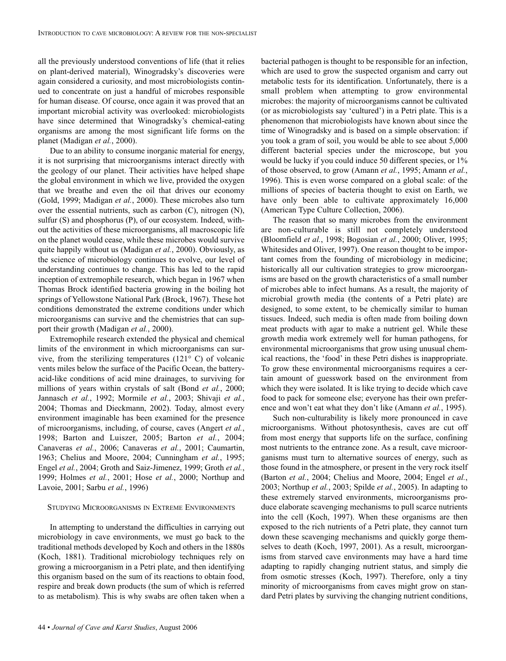all the previously understood conventions of life (that it relies on plant-derived material), Winogradsky's discoveries were again considered a curiosity, and most microbiologists continued to concentrate on just a handful of microbes responsible for human disease. Of course, once again it was proved that an important microbial activity was overlooked: microbiologists have since determined that Winogradsky's chemical-eating organisms are among the most significant life forms on the planet (Madigan *et al.*, 2000).

Due to an ability to consume inorganic material for energy, it is not surprising that microorganisms interact directly with the geology of our planet. Their activities have helped shape the global environment in which we live, provided the oxygen that we breathe and even the oil that drives our economy (Gold, 1999; Madigan *et al.*, 2000). These microbes also turn over the essential nutrients, such as carbon (C), nitrogen (N), sulfur (S) and phosphorus (P), of our ecosystem. Indeed, without the activities of these microorganisms, all macroscopic life on the planet would cease, while these microbes would survive quite happily without us (Madigan *et al.*, 2000). Obviously, as the science of microbiology continues to evolve, our level of understanding continues to change. This has led to the rapid inception of extremophile research, which began in 1967 when Thomas Brock identified bacteria growing in the boiling hot springs of Yellowstone National Park (Brock, 1967). These hot conditions demonstrated the extreme conditions under which microorganisms can survive and the chemistries that can support their growth (Madigan *et al.*, 2000).

Extremophile research extended the physical and chemical limits of the environment in which microorganisms can survive, from the sterilizing temperatures (121° C) of volcanic vents miles below the surface of the Pacific Ocean, the batteryacid-like conditions of acid mine drainages, to surviving for millions of years within crystals of salt (Bond *et al.*, 2000; Jannasch *et al.*, 1992; Mormile *et al.*, 2003; Shivaji *et al.*, 2004; Thomas and Dieckmann, 2002). Today, almost every environment imaginable has been examined for the presence of microorganisms, including, of course, caves (Angert *et al.*, 1998; Barton and Luiszer, 2005; Barton *et al.*, 2004; Canaveras *et al.*, 2006; Canaveras *et al.*, 2001; Caumartin, 1963; Chelius and Moore, 2004; Cunningham *et al.*, 1995; Engel *et al.*, 2004; Groth and Saiz-Jimenez, 1999; Groth *et al.*, 1999; Holmes *et al.*, 2001; Hose *et al.*, 2000; Northup and Lavoie, 2001; Sarbu *et al.*, 1996)

# STUDYING MICROORGANISMS IN EXTREME ENVIRONMENTS

In attempting to understand the difficulties in carrying out microbiology in cave environments, we must go back to the traditional methods developed by Koch and others in the 1880s (Koch, 1881). Traditional microbiology techniques rely on growing a microorganism in a Petri plate, and then identifying this organism based on the sum of its reactions to obtain food, respire and break down products (the sum of which is referred to as metabolism). This is why swabs are often taken when a bacterial pathogen is thought to be responsible for an infection, which are used to grow the suspected organism and carry out metabolic tests for its identification. Unfortunately, there is a small problem when attempting to grow environmental microbes: the majority of microorganisms cannot be cultivated (or as microbiologists say 'cultured') in a Petri plate. This is a phenomenon that microbiologists have known about since the time of Winogradsky and is based on a simple observation: if you took a gram of soil, you would be able to see about 5,000 different bacterial species under the microscope, but you would be lucky if you could induce 50 different species, or 1% of those observed, to grow (Amann *et al.*, 1995; Amann *et al.*, 1996). This is even worse compared on a global scale: of the millions of species of bacteria thought to exist on Earth, we have only been able to cultivate approximately 16,000 (American Type Culture Collection, 2006).

The reason that so many microbes from the environment are non-culturable is still not completely understood (Bloomfield *et al.*, 1998; Bogosian *et al.*, 2000; Oliver, 1995; Whitesides and Oliver, 1997). One reason thought to be important comes from the founding of microbiology in medicine; historically all our cultivation strategies to grow microorganisms are based on the growth characteristics of a small number of microbes able to infect humans. As a result, the majority of microbial growth media (the contents of a Petri plate) are designed, to some extent, to be chemically similar to human tissues. Indeed, such media is often made from boiling down meat products with agar to make a nutrient gel. While these growth media work extremely well for human pathogens, for environmental microorganisms that grow using unusual chemical reactions, the 'food' in these Petri dishes is inappropriate. To grow these environmental microorganisms requires a certain amount of guesswork based on the environment from which they were isolated. It is like trying to decide which cave food to pack for someone else; everyone has their own preference and won't eat what they don't like (Amann *et al.*, 1995).

Such non-culturability is likely more pronounced in cave microorganisms. Without photosynthesis, caves are cut off from most energy that supports life on the surface, confining most nutrients to the entrance zone. As a result, cave microorganisms must turn to alternative sources of energy, such as those found in the atmosphere, or present in the very rock itself (Barton *et al.*, 2004; Chelius and Moore, 2004; Engel *et al.*, 2003; Northup *et al.*, 2003; Spilde *et al.*, 2005). In adapting to these extremely starved environments, microorganisms produce elaborate scavenging mechanisms to pull scarce nutrients into the cell (Koch, 1997). When these organisms are then exposed to the rich nutrients of a Petri plate, they cannot turn down these scavenging mechanisms and quickly gorge themselves to death (Koch, 1997, 2001). As a result, microorganisms from starved cave environments may have a hard time adapting to rapidly changing nutrient status, and simply die from osmotic stresses (Koch, 1997). Therefore, only a tiny minority of microorganisms from caves might grow on standard Petri plates by surviving the changing nutrient conditions,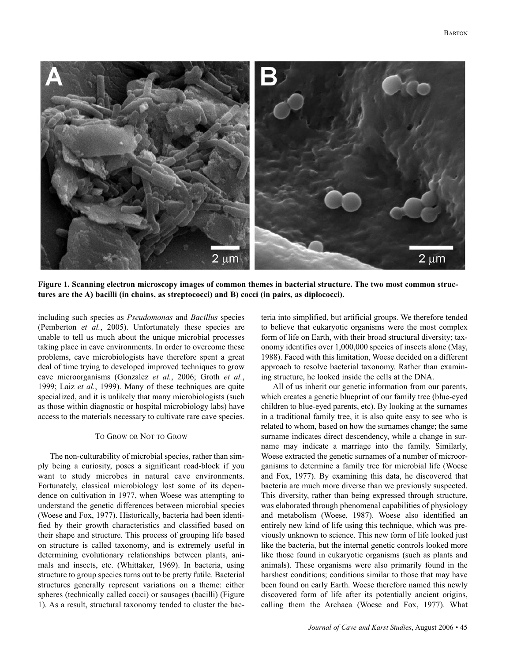

**Figure 1. Scanning electron microscopy images of common themes in bacterial structure. The two most common structures are the A) bacilli (in chains, as streptococci) and B) cocci (in pairs, as diplococci).**

including such species as *Pseudomonas* and *Bacillus* species (Pemberton *et al.*, 2005). Unfortunately these species are unable to tell us much about the unique microbial processes taking place in cave environments. In order to overcome these problems, cave microbiologists have therefore spent a great deal of time trying to developed improved techniques to grow cave microorganisms (Gonzalez *et al.*, 2006; Groth *et al.*, 1999; Laiz *et al.*, 1999). Many of these techniques are quite specialized, and it is unlikely that many microbiologists (such as those within diagnostic or hospital microbiology labs) have access to the materials necessary to cultivate rare cave species.

# TO GROW OR NOT TO GROW

The non-culturability of microbial species, rather than simply being a curiosity, poses a significant road-block if you want to study microbes in natural cave environments. Fortunately, classical microbiology lost some of its dependence on cultivation in 1977, when Woese was attempting to understand the genetic differences between microbial species (Woese and Fox, 1977). Historically, bacteria had been identified by their growth characteristics and classified based on their shape and structure. This process of grouping life based on structure is called taxonomy, and is extremely useful in determining evolutionary relationships between plants, animals and insects, etc. (Whittaker, 1969). In bacteria, using structure to group species turns out to be pretty futile. Bacterial structures generally represent variations on a theme: either spheres (technically called cocci) or sausages (bacilli) (Figure 1). As a result, structural taxonomy tended to cluster the bacteria into simplified, but artificial groups. We therefore tended to believe that eukaryotic organisms were the most complex form of life on Earth, with their broad structural diversity; taxonomy identifies over 1,000,000 species of insects alone (May, 1988). Faced with this limitation, Woese decided on a different approach to resolve bacterial taxonomy. Rather than examining structure, he looked inside the cells at the DNA.

All of us inherit our genetic information from our parents, which creates a genetic blueprint of our family tree (blue-eyed children to blue-eyed parents, etc). By looking at the surnames in a traditional family tree, it is also quite easy to see who is related to whom, based on how the surnames change; the same surname indicates direct descendency, while a change in surname may indicate a marriage into the family. Similarly, Woese extracted the genetic surnames of a number of microorganisms to determine a family tree for microbial life (Woese and Fox, 1977). By examining this data, he discovered that bacteria are much more diverse than we previously suspected. This diversity, rather than being expressed through structure, was elaborated through phenomenal capabilities of physiology and metabolism (Woese, 1987). Woese also identified an entirely new kind of life using this technique, which was previously unknown to science. This new form of life looked just like the bacteria, but the internal genetic controls looked more like those found in eukaryotic organisms (such as plants and animals). These organisms were also primarily found in the harshest conditions; conditions similar to those that may have been found on early Earth. Woese therefore named this newly discovered form of life after its potentially ancient origins, calling them the Archaea (Woese and Fox, 1977). What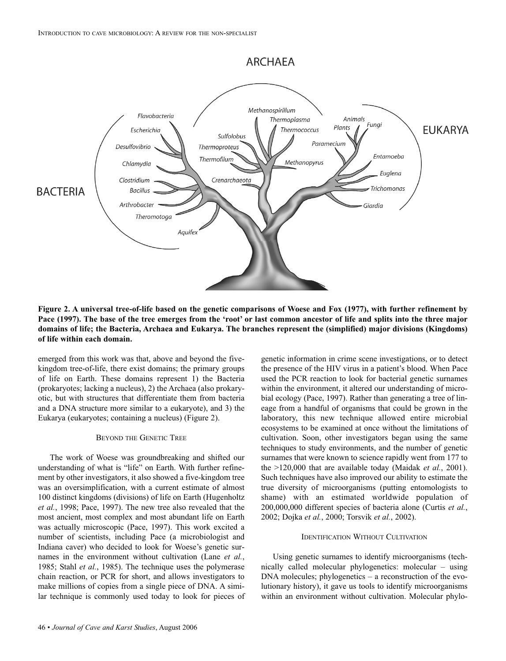

**Figure 2. A universal tree-of-life based on the genetic comparisons of Woese and Fox (1977), with further refinement by Pace (1997). The base of the tree emerges from the 'root' or last common ancestor of life and splits into the three major domains of life; the Bacteria, Archaea and Eukarya. The branches represent the (simplified) major divisions (Kingdoms) of life within each domain.**

emerged from this work was that, above and beyond the fivekingdom tree-of-life, there exist domains; the primary groups of life on Earth. These domains represent 1) the Bacteria (prokaryotes; lacking a nucleus), 2) the Archaea (also prokaryotic, but with structures that differentiate them from bacteria and a DNA structure more similar to a eukaryote), and 3) the Eukarya (eukaryotes; containing a nucleus) (Figure 2).

# BEYOND THE GENETIC TREE

The work of Woese was groundbreaking and shifted our understanding of what is "life" on Earth. With further refinement by other investigators, it also showed a five-kingdom tree was an oversimplification, with a current estimate of almost 100 distinct kingdoms (divisions) of life on Earth (Hugenholtz *et al.*, 1998; Pace, 1997). The new tree also revealed that the most ancient, most complex and most abundant life on Earth was actually microscopic (Pace, 1997). This work excited a number of scientists, including Pace (a microbiologist and Indiana caver) who decided to look for Woese's genetic surnames in the environment without cultivation (Lane *et al.*, 1985; Stahl *et al.*, 1985). The technique uses the polymerase chain reaction, or PCR for short, and allows investigators to make millions of copies from a single piece of DNA. A similar technique is commonly used today to look for pieces of genetic information in crime scene investigations, or to detect the presence of the HIV virus in a patient's blood. When Pace used the PCR reaction to look for bacterial genetic surnames within the environment, it altered our understanding of microbial ecology (Pace, 1997). Rather than generating a tree of lineage from a handful of organisms that could be grown in the laboratory, this new technique allowed entire microbial ecosystems to be examined at once without the limitations of cultivation. Soon, other investigators began using the same techniques to study environments, and the number of genetic surnames that were known to science rapidly went from 177 to the >120,000 that are available today (Maidak *et al.*, 2001). Such techniques have also improved our ability to estimate the true diversity of microorganisms (putting entomologists to shame) with an estimated worldwide population of 200,000,000 different species of bacteria alone (Curtis *et al.*, 2002; Dojka *et al.*, 2000; Torsvik *et al.*, 2002).

# IDENTIFICATION WITHOUT CULTIVATION

Using genetic surnames to identify microorganisms (technically called molecular phylogenetics: molecular – using DNA molecules; phylogenetics – a reconstruction of the evolutionary history), it gave us tools to identify microorganisms within an environment without cultivation. Molecular phylo-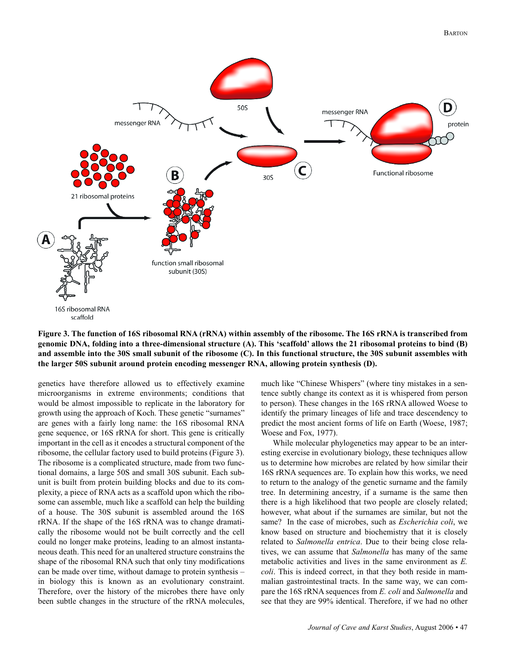

**Figure 3. The function of 16S ribosomal RNA (rRNA) within assembly of the ribosome. The 16S rRNA is transcribed from genomic DNA, folding into a three-dimensional structure (A). This 'scaffold' allows the 21 ribosomal proteins to bind (B) and assemble into the 30S small subunit of the ribosome (C). In this functional structure, the 30S subunit assembles with the larger 50S subunit around protein encoding messenger RNA, allowing protein synthesis (D).**

genetics have therefore allowed us to effectively examine microorganisms in extreme environments; conditions that would be almost impossible to replicate in the laboratory for growth using the approach of Koch. These genetic "surnames" are genes with a fairly long name: the 16S ribosomal RNA gene sequence, or 16S rRNA for short. This gene is critically important in the cell as it encodes a structural component of the ribosome, the cellular factory used to build proteins (Figure 3). The ribosome is a complicated structure, made from two functional domains, a large 50S and small 30S subunit. Each subunit is built from protein building blocks and due to its complexity, a piece of RNA acts as a scaffold upon which the ribosome can assemble, much like a scaffold can help the building of a house. The 30S subunit is assembled around the 16S rRNA. If the shape of the 16S rRNA was to change dramatically the ribosome would not be built correctly and the cell could no longer make proteins, leading to an almost instantaneous death. This need for an unaltered structure constrains the shape of the ribosomal RNA such that only tiny modifications can be made over time, without damage to protein synthesis – in biology this is known as an evolutionary constraint. Therefore, over the history of the microbes there have only been subtle changes in the structure of the rRNA molecules, much like "Chinese Whispers" (where tiny mistakes in a sentence subtly change its context as it is whispered from person to person). These changes in the 16S rRNA allowed Woese to identify the primary lineages of life and trace descendency to predict the most ancient forms of life on Earth (Woese, 1987; Woese and Fox, 1977).

While molecular phylogenetics may appear to be an interesting exercise in evolutionary biology, these techniques allow us to determine how microbes are related by how similar their 16S rRNA sequences are. To explain how this works, we need to return to the analogy of the genetic surname and the family tree. In determining ancestry, if a surname is the same then there is a high likelihood that two people are closely related; however, what about if the surnames are similar, but not the same? In the case of microbes, such as *Escherichia coli*, we know based on structure and biochemistry that it is closely related to *Salmonella entrica*. Due to their being close relatives, we can assume that *Salmonella* has many of the same metabolic activities and lives in the same environment as *E. coli*. This is indeed correct, in that they both reside in mammalian gastrointestinal tracts. In the same way, we can compare the 16S rRNA sequences from *E. coli* and *Salmonella* and see that they are 99% identical. Therefore, if we had no other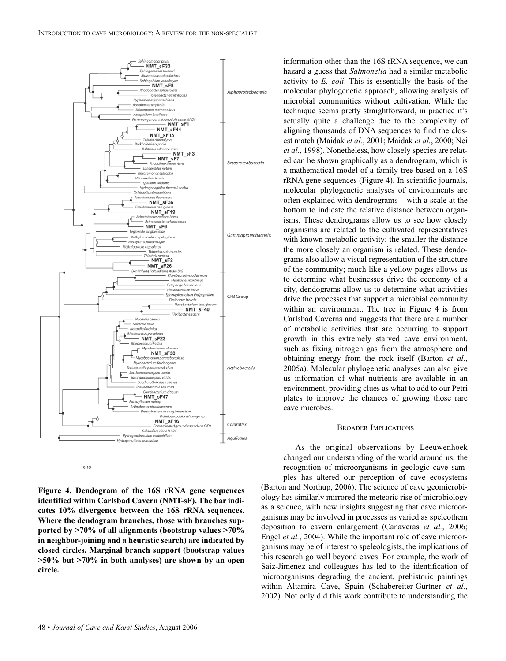

**Figure 4. Dendogram of the 16S rRNA gene sequences identified within Carlsbad Cavern (NMT-sF). The bar indicates 10% divergence between the 16S rRNA sequences. Where the dendogram branches, those with branches supported by >70% of all alignments (bootstrap values >70% in neighbor-joining and a heuristic search) are indicated by closed circles. Marginal branch support (bootstrap values >50% but >70% in both analyses) are shown by an open circle.**

activity to *E. coli*. This is essentially the basis of the molecular phylogenetic approach, allowing analysis of microbial communities without cultivation. While the technique seems pretty straightforward, in practice it's actually quite a challenge due to the complexity of aligning thousands of DNA sequences to find the closest match (Maidak *et al.*, 2001; Maidak *et al.*, 2000; Nei *et al.*, 1998). Nonetheless, how closely species are related can be shown graphically as a dendrogram, which is a mathematical model of a family tree based on a 16S rRNA gene sequences (Figure 4). In scientific journals, molecular phylogenetic analyses of environments are often explained with dendrograms – with a scale at the bottom to indicate the relative distance between organisms. These dendrograms allow us to see how closely organisms are related to the cultivated representatives with known metabolic activity; the smaller the distance the more closely an organism is related. These dendograms also allow a visual representation of the structure of the community; much like a yellow pages allows us to determine what businesses drive the economy of a city, dendograms allow us to determine what activities drive the processes that support a microbial community within an environment. The tree in Figure 4 is from Carlsbad Caverns and suggests that there are a number of metabolic activities that are occurring to support growth in this extremely starved cave environment, such as fixing nitrogen gas from the atmosphere and obtaining energy from the rock itself (Barton *et al.*, 2005a). Molecular phylogenetic analyses can also give us information of what nutrients are available in an environment, providing clues as what to add to our Petri plates to improve the chances of growing those rare cave microbes.

information other than the 16S rRNA sequence, we can hazard a guess that *Salmonella* had a similar metabolic

#### BROADER IMPLICATIONS

As the original observations by Leeuwenhoek changed our understanding of the world around us, the recognition of microorganisms in geologic cave samples has altered our perception of cave ecosystems (Barton and Northup, 2006). The science of cave geomicrobiology has similarly mirrored the meteoric rise of microbiology as a science, with new insights suggesting that cave microorganisms may be involved in processes as varied as speleothem deposition to cavern enlargement (Canaveras *et al.*, 2006; Engel *et al.*, 2004). While the important role of cave microorganisms may be of interest to speleologists, the implications of this research go well beyond caves. For example, the work of Saiz-Jimenez and colleagues has led to the identification of microorganisms degrading the ancient, prehistoric paintings within Altamira Cave, Spain (Schabereiter-Gurtner *et al.*, 2002). Not only did this work contribute to understanding the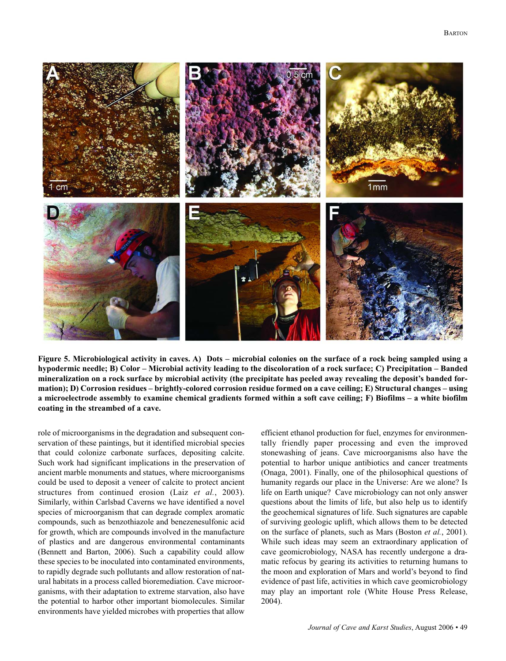

**Figure 5. Microbiological activity in caves. A) Dots – microbial colonies on the surface of a rock being sampled using a hypodermic needle; B) Color – Microbial activity leading to the discoloration of a rock surface; C) Precipitation – Banded mineralization on a rock surface by microbial activity (the precipitate has peeled away revealing the deposit's banded formation); D) Corrosion residues – brightly-colored corrosion residue formed on a cave ceiling; E) Structural changes – using a microelectrode assembly to examine chemical gradients formed within a soft cave ceiling; F) Biofilms – a white biofilm coating in the streambed of a cave.**

role of microorganisms in the degradation and subsequent conservation of these paintings, but it identified microbial species that could colonize carbonate surfaces, depositing calcite. Such work had significant implications in the preservation of ancient marble monuments and statues, where microorganisms could be used to deposit a veneer of calcite to protect ancient structures from continued erosion (Laiz *et al.*, 2003). Similarly, within Carlsbad Caverns we have identified a novel species of microorganism that can degrade complex aromatic compounds, such as benzothiazole and benezenesulfonic acid for growth, which are compounds involved in the manufacture of plastics and are dangerous environmental contaminants (Bennett and Barton, 2006). Such a capability could allow these species to be inoculated into contaminated environments, to rapidly degrade such pollutants and allow restoration of natural habitats in a process called bioremediation. Cave microorganisms, with their adaptation to extreme starvation, also have the potential to harbor other important biomolecules. Similar environments have yielded microbes with properties that allow efficient ethanol production for fuel, enzymes for environmentally friendly paper processing and even the improved stonewashing of jeans. Cave microorganisms also have the potential to harbor unique antibiotics and cancer treatments (Onaga, 2001). Finally, one of the philosophical questions of humanity regards our place in the Universe: Are we alone? Is life on Earth unique? Cave microbiology can not only answer questions about the limits of life, but also help us to identify the geochemical signatures of life. Such signatures are capable of surviving geologic uplift, which allows them to be detected on the surface of planets, such as Mars (Boston *et al.*, 2001). While such ideas may seem an extraordinary application of cave geomicrobiology, NASA has recently undergone a dramatic refocus by gearing its activities to returning humans to the moon and exploration of Mars and world's beyond to find evidence of past life, activities in which cave geomicrobiology may play an important role (White House Press Release, 2004).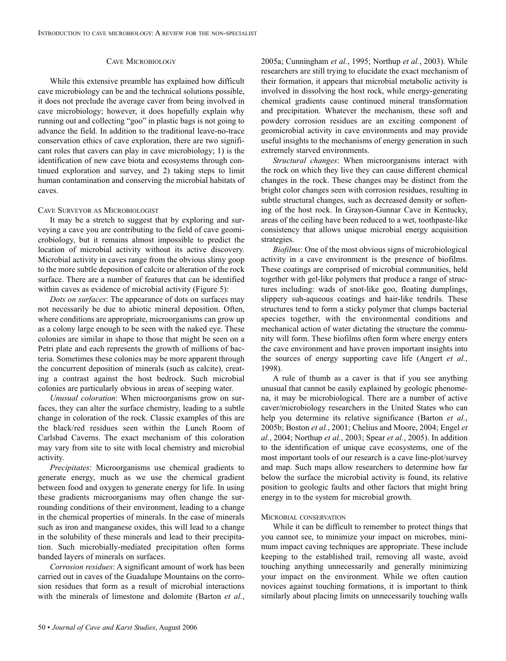# CAVE MICROBIOLOGY

While this extensive preamble has explained how difficult cave microbiology can be and the technical solutions possible, it does not preclude the average caver from being involved in cave microbiology; however, it does hopefully explain why running out and collecting "goo" in plastic bags is not going to advance the field. In addition to the traditional leave-no-trace conservation ethics of cave exploration, there are two significant roles that cavers can play in cave microbiology; 1) is the identification of new cave biota and ecosystems through continued exploration and survey, and 2) taking steps to limit human contamination and conserving the microbial habitats of caves.

# CAVE SURVEYOR AS MICROBIOLOGIST

It may be a stretch to suggest that by exploring and surveying a cave you are contributing to the field of cave geomicrobiology, but it remains almost impossible to predict the location of microbial activity without its active discovery. Microbial activity in caves range from the obvious slimy goop to the more subtle deposition of calcite or alteration of the rock surface. There are a number of features that can be identified within caves as evidence of microbial activity (Figure 5):

*Dots on surfaces*: The appearance of dots on surfaces may not necessarily be due to abiotic mineral deposition. Often, where conditions are appropriate, microorganisms can grow up as a colony large enough to be seen with the naked eye. These colonies are similar in shape to those that might be seen on a Petri plate and each represents the growth of millions of bacteria. Sometimes these colonies may be more apparent through the concurrent deposition of minerals (such as calcite), creating a contrast against the host bedrock. Such microbial colonies are particularly obvious in areas of seeping water.

*Unusual coloration*: When microorganisms grow on surfaces, they can alter the surface chemistry, leading to a subtle change in coloration of the rock. Classic examples of this are the black/red residues seen within the Lunch Room of Carlsbad Caverns. The exact mechanism of this coloration may vary from site to site with local chemistry and microbial activity.

*Precipitates*: Microorganisms use chemical gradients to generate energy, much as we use the chemical gradient between food and oxygen to generate energy for life. In using these gradients microorganisms may often change the surrounding conditions of their environment, leading to a change in the chemical properties of minerals. In the case of minerals such as iron and manganese oxides, this will lead to a change in the solubility of these minerals and lead to their precipitation. Such microbially-mediated precipitation often forms banded layers of minerals on surfaces.

*Corrosion residues*: A significant amount of work has been carried out in caves of the Guadalupe Mountains on the corrosion residues that form as a result of microbial interactions with the minerals of limestone and dolomite (Barton *et al.*,

2005a; Cunningham *et al.*, 1995; Northup *et al.*, 2003). While researchers are still trying to elucidate the exact mechanism of their formation, it appears that microbial metabolic activity is involved in dissolving the host rock, while energy-generating chemical gradients cause continued mineral transformation and precipitation. Whatever the mechanism, these soft and powdery corrosion residues are an exciting component of geomicrobial activity in cave environments and may provide useful insights to the mechanisms of energy generation in such extremely starved environments.

*Structural changes*: When microorganisms interact with the rock on which they live they can cause different chemical changes in the rock. These changes may be distinct from the bright color changes seen with corrosion residues, resulting in subtle structural changes, such as decreased density or softening of the host rock. In Grayson-Gunnar Cave in Kentucky, areas of the ceiling have been reduced to a wet, toothpaste-like consistency that allows unique microbial energy acquisition strategies.

*Biofilms*: One of the most obvious signs of microbiological activity in a cave environment is the presence of biofilms. These coatings are comprised of microbial communities, held together with gel-like polymers that produce a range of structures including: wads of snot-like goo, floating dumplings, slippery sub-aqueous coatings and hair-like tendrils. These structures tend to form a sticky polymer that clumps bacterial species together, with the environmental conditions and mechanical action of water dictating the structure the community will form. These biofilms often form where energy enters the cave environment and have proven important insights into the sources of energy supporting cave life (Angert *et al.*, 1998).

A rule of thumb as a caver is that if you see anything unusual that cannot be easily explained by geologic phenomena, it may be microbiological. There are a number of active caver/microbiology researchers in the United States who can help you determine its relative significance (Barton *et al.*, 2005b; Boston *et al.*, 2001; Chelius and Moore, 2004; Engel *et al.*, 2004; Northup *et al.*, 2003; Spear *et al.*, 2005). In addition to the identification of unique cave ecosystems, one of the most important tools of our research is a cave line-plot/survey and map. Such maps allow researchers to determine how far below the surface the microbial activity is found, its relative position to geologic faults and other factors that might bring energy in to the system for microbial growth.

#### MICROBIAL CONSERVATION

While it can be difficult to remember to protect things that you cannot see, to minimize your impact on microbes, minimum impact caving techniques are appropriate. These include keeping to the established trail, removing all waste, avoid touching anything unnecessarily and generally minimizing your impact on the environment. While we often caution novices against touching formations, it is important to think similarly about placing limits on unnecessarily touching walls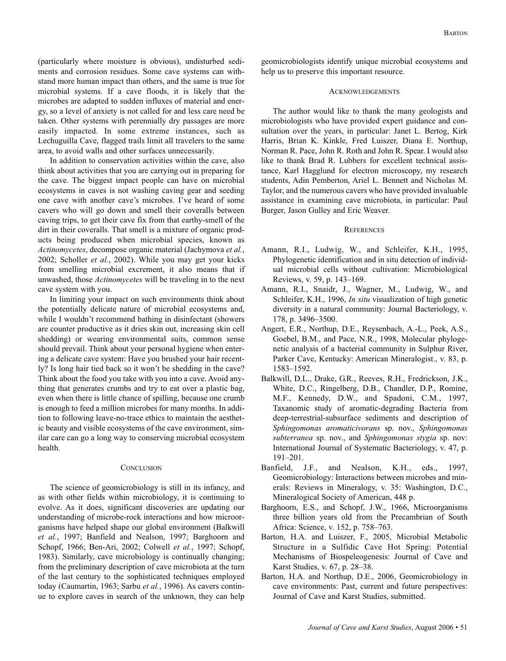(particularly where moisture is obvious), undisturbed sediments and corrosion residues. Some cave systems can withstand more human impact than others, and the same is true for microbial systems. If a cave floods, it is likely that the microbes are adapted to sudden influxes of material and energy, so a level of anxiety is not called for and less care need be taken. Other systems with perennially dry passages are more easily impacted. In some extreme instances, such as Lechuguilla Cave, flagged trails limit all travelers to the same area, to avoid walls and other surfaces unnecessarily.

In addition to conservation activities within the cave, also think about activities that you are carrying out in preparing for the cave. The biggest impact people can have on microbial ecosystems in caves is not washing caving gear and seeding one cave with another cave's microbes. I've heard of some cavers who will go down and smell their coveralls between caving trips, to get their cave fix from that earthy-smell of the dirt in their coveralls. That smell is a mixture of organic products being produced when microbial species, known as *Actinomycetes*, decompose organic material (Jachymova *et al.*, 2002; Scholler *et al.*, 2002). While you may get your kicks from smelling microbial excrement, it also means that if unwashed, those *Actinomycetes* will be traveling in to the next cave system with you.

In limiting your impact on such environments think about the potentially delicate nature of microbial ecosystems and, while I wouldn't recommend bathing in disinfectant (showers are counter productive as it dries skin out, increasing skin cell shedding) or wearing environmental suits, common sense should prevail. Think about your personal hygiene when entering a delicate cave system: Have you brushed your hair recently? Is long hair tied back so it won't be shedding in the cave? Think about the food you take with you into a cave. Avoid anything that generates crumbs and try to eat over a plastic bag, even when there is little chance of spilling, because one crumb is enough to feed a million microbes for many months. In addition to following leave-no-trace ethics to maintain the aesthetic beauty and visible ecosystems of the cave environment, similar care can go a long way to conserving microbial ecosystem health.

# **CONCLUSION**

The science of geomicrobiology is still in its infancy, and as with other fields within microbiology, it is continuing to evolve. As it does, significant discoveries are updating our understanding of microbe-rock interactions and how microorganisms have helped shape our global environment (Balkwill *et al.*, 1997; Banfield and Nealson, 1997; Barghoorn and Schopf, 1966; Ben-Ari, 2002; Colwell *et al.*, 1997; Schopf, 1983). Similarly, cave microbiology is continually changing; from the preliminary description of cave microbiota at the turn of the last century to the sophisticated techniques employed today (Caumartin, 1963; Sarbu *et al.*, 1996). As cavers continue to explore caves in search of the unknown, they can help geomicrobiologists identify unique microbial ecosystems and help us to preserve this important resource.

#### **ACKNOWLEDGEMENTS**

The author would like to thank the many geologists and microbiologists who have provided expert guidance and consultation over the years, in particular: Janet L. Bertog, Kirk Harris, Brian K. Kinkle, Fred Luiszer, Diana E. Northup, Norman R. Pace, John R. Roth and John R. Spear. I would also like to thank Brad R. Lubbers for excellent technical assistance, Karl Hagglund for electron microscopy, my research students, Adin Pemberton, Ariel L. Bennett and Nicholas M. Taylor, and the numerous cavers who have provided invaluable assistance in examining cave microbiota, in particular: Paul Burger, Jason Gulley and Eric Weaver.

## **REFERENCES**

- Amann, R.I., Ludwig, W., and Schleifer, K.H., 1995, Phylogenetic identification and in situ detection of individual microbial cells without cultivation: Microbiological Reviews, v. 59, p. 143–169.
- Amann, R.I., Snaidr, J., Wagner, M., Ludwig, W., and Schleifer, K.H., 1996, *In situ* visualization of high genetic diversity in a natural community: Journal Bacteriology, v. 178, p. 3496–3500.
- Angert, E.R., Northup, D.E., Reysenbach, A.-L., Peek, A.S., Goebel, B.M., and Pace, N.R., 1998, Molecular phylogenetic analysis of a bacterial community in Sulphur River, Parker Cave, Kentucky: American Mineralogist., v. 83, p. 1583–1592.
- Balkwill, D.L., Drake, G.R., Reeves, R.H., Fredrickson, J.K., White, D.C., Ringelberg, D.B., Chandler, D.P., Romine, M.F., Kennedy, D.W., and Spadoni, C.M., 1997, Taxanomic study of aromatic-degrading Bacteria from deep-terrestrial-subsurface sediments and description of *Sphingomonas aromaticivorans* sp. nov., *Sphingomonas subterranea* sp. nov., and *Sphingomonas stygia* sp. nov: International Journal of Systematic Bacteriology, v. 47, p. 191–201.
- Banfield, J.F., and Nealson, K.H., eds., 1997, Geomicrobiology: Interactions between microbes and minerals: Reviews in Mineralogy, v. 35: Washington, D.C., Mineralogical Society of American, 448 p.
- Barghoorn, E.S., and Schopf, J.W., 1966, Microorganisms three billion years old from the Precambrian of South Africa: Science, v. 152, p. 758–763.
- Barton, H.A. and Luiszer, F., 2005, Microbial Metabolic Structure in a Sulfidic Cave Hot Spring: Potential Mechanisms of Biospeleogenesis: Journal of Cave and Karst Studies, v. 67, p. 28–38.
- Barton, H.A. and Northup, D.E., 2006, Geomicrobiology in cave environments: Past, current and future perspectives: Journal of Cave and Karst Studies, submitted.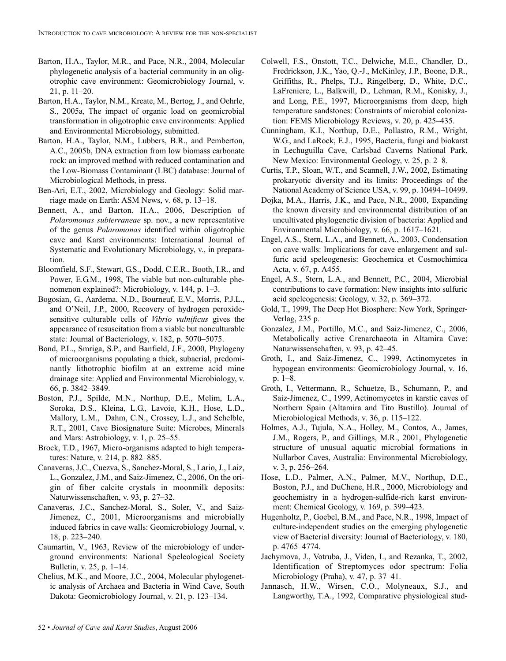- Barton, H.A., Taylor, M.R., and Pace, N.R., 2004, Molecular phylogenetic analysis of a bacterial community in an oligotrophic cave environment: Geomicrobiology Journal, v. 21, p. 11–20.
- Barton, H.A., Taylor, N.M., Kreate, M., Bertog, J., and Oehrle, S., 2005a, The impact of organic load on geomicrobial transformation in oligotrophic cave environments: Applied and Environmental Microbiology, submitted.
- Barton, H.A., Taylor, N.M., Lubbers, B.R., and Pemberton, A.C., 2005b, DNA extraction from low biomass carbonate rock: an improved method with reduced contamination and the Low-Biomass Contaminant (LBC) database: Journal of Microbiological Methods, in press.
- Ben-Ari, E.T., 2002, Microbiology and Geology: Solid marriage made on Earth: ASM News, v. 68, p. 13–18.
- Bennett, A., and Barton, H.A., 2006, Description of *Polaromonas subterraneae* sp. nov., a new representative of the genus *Polaromonas* identified within oligotrophic cave and Karst environments: International Journal of Systematic and Evolutionary Microbiology, v., in preparation.
- Bloomfield, S.F., Stewart, G.S., Dodd, C.E.R., Booth, I.R., and Power, E.G.M., 1998, The viable but non-culturable phenomenon explained?: Microbiology, v. 144, p. 1–3.
- Bogosian, G., Aardema, N.D., Bourneuf, E.V., Morris, P.J.L., and O'Neil, J.P., 2000, Recovery of hydrogen peroxidesensitive culturable cells of *Vibrio vulnificus* gives the appearance of resuscitation from a viable but nonculturable state: Journal of Bacteriology, v. 182, p. 5070–5075.
- Bond, P.L., Smriga, S.P., and Banfield, J.F., 2000, Phylogeny of microorganisms populating a thick, subaerial, predominantly lithotrophic biofilm at an extreme acid mine drainage site: Applied and Environmental Microbiology, v. 66, p. 3842–3849.
- Boston, P.J., Spilde, M.N., Northup, D.E., Melim, L.A., Soroka, D.S., Kleina, L.G., Lavoie, K.H., Hose, L.D., Mallory, L.M., Dahm, C.N., Crossey, L.J., and Schelble, R.T., 2001, Cave Biosignature Suite: Microbes, Minerals and Mars: Astrobiology, v. 1, p. 25–55.
- Brock, T.D., 1967, Micro-organisms adapted to high temperatures: Nature, v. 214, p. 882–885.
- Canaveras, J.C., Cuezva, S., Sanchez-Moral, S., Lario, J., Laiz, L., Gonzalez, J.M., and Saiz-Jimenez, C., 2006, On the origin of fiber calcite crystals in moonmilk deposits: Naturwissenschaften, v. 93, p. 27–32.
- Canaveras, J.C., Sanchez-Moral, S., Soler, V., and Saiz-Jimenez, C., 2001, Microorganisms and microbially induced fabrics in cave walls: Geomicrobiology Journal, v. 18, p. 223–240.
- Caumartin, V., 1963, Review of the microbiology of underground environments: National Speleological Society Bulletin, v. 25, p. 1–14.
- Chelius, M.K., and Moore, J.C., 2004, Molecular phylogenetic analysis of Archaea and Bacteria in Wind Cave, South Dakota: Geomicrobiology Journal, v. 21, p. 123–134.
- Colwell, F.S., Onstott, T.C., Delwiche, M.E., Chandler, D., Fredrickson, J.K., Yao, Q.-J., McKinley, J.P., Boone, D.R., Griffiths, R., Phelps, T.J., Ringelberg, D., White, D.C., LaFreniere, L., Balkwill, D., Lehman, R.M., Konisky, J., and Long, P.E., 1997, Microorganisms from deep, high temperature sandstones: Constraints of microbial colonization: FEMS Microbiology Reviews, v. 20, p. 425–435.
- Cunningham, K.I., Northup, D.E., Pollastro, R.M., Wright, W.G., and LaRock, E.J., 1995, Bacteria, fungi and biokarst in Lechuguilla Cave, Carlsbad Caverns National Park, New Mexico: Environmental Geology, v. 25, p. 2–8.
- Curtis, T.P., Sloan, W.T., and Scannell, J.W., 2002, Estimating prokaryotic diversity and its limits: Proceedings of the National Academy of Science USA, v. 99, p. 10494–10499.
- Dojka, M.A., Harris, J.K., and Pace, N.R., 2000, Expanding the known diversity and environmental distribution of an uncultivated phylogenetic division of bacteria: Applied and Environmental Microbiology, v. 66, p. 1617–1621.
- Engel, A.S., Stern, L.A., and Bennett, A., 2003, Condensation on cave walls: Implications for cave enlargement and sulfuric acid speleogenesis: Geochemica et Cosmochimica Acta, v. 67, p. A455.
- Engel, A.S., Stern, L.A., and Bennett, P.C., 2004, Microbial contributions to cave formation: New insights into sulfuric acid speleogenesis: Geology, v. 32, p. 369–372.
- Gold, T., 1999, The Deep Hot Biosphere: New York, Springer-Verlag, 235 p.
- Gonzalez, J.M., Portillo, M.C., and Saiz-Jimenez, C., 2006, Metabolically active Crenarchaeota in Altamira Cave: Naturwissenschaften, v. 93, p. 42–45.
- Groth, I., and Saiz-Jimenez, C., 1999, Actinomycetes in hypogean environments: Geomicrobiology Journal, v. 16, p. 1–8.
- Groth, I., Vettermann, R., Schuetze, B., Schumann, P., and Saiz-Jimenez, C., 1999, Actinomycetes in karstic caves of Northern Spain (Altamira and Tito Bustillo). Journal of Microbiological Methods, v. 36, p. 115–122.
- Holmes, A.J., Tujula, N.A., Holley, M., Contos, A., James, J.M., Rogers, P., and Gillings, M.R., 2001, Phylogenetic structure of unusual aquatic microbial formations in Nullarbor Caves, Australia: Environmental Microbiology, v. 3, p. 256–264.
- Hose, L.D., Palmer, A.N., Palmer, M.V., Northup, D.E., Boston, P.J., and DuChene, H.R., 2000, Microbiology and geochemistry in a hydrogen-sulfide-rich karst environment: Chemical Geology, v. 169, p. 399–423.
- Hugenholtz, P., Goebel, B.M., and Pace, N.R., 1998, Impact of culture-independent studies on the emerging phylogenetic view of Bacterial diversity: Journal of Bacteriology, v. 180, p. 4765–4774.
- Jachymova, J., Votruba, J., Viden, I., and Rezanka, T., 2002, Identification of Streptomyces odor spectrum: Folia Microbiology (Praha), v. 47, p. 37–41.
- Jannasch, H.W., Wirsen, C.O., Molyneaux, S.J., and Langworthy, T.A., 1992, Comparative physiological stud-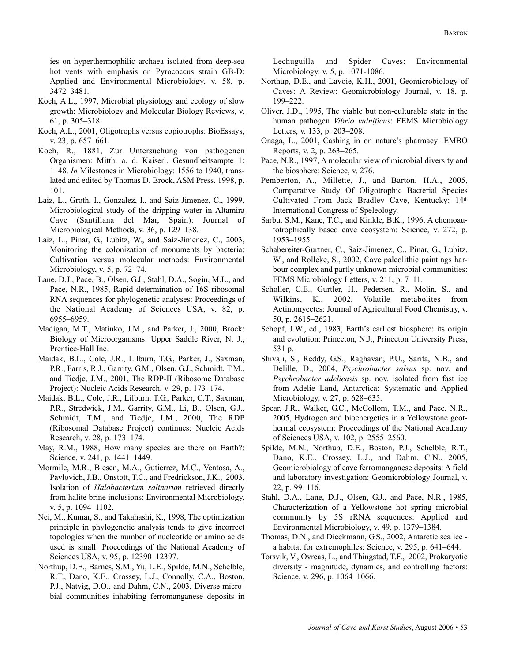ies on hyperthermophilic archaea isolated from deep-sea hot vents with emphasis on Pyrococcus strain GB-D: Applied and Environmental Microbiology, v. 58, p. 3472–3481.

- Koch, A.L., 1997, Microbial physiology and ecology of slow growth: Microbiology and Molecular Biology Reviews, v. 61, p. 305–318.
- Koch, A.L., 2001, Oligotrophs versus copiotrophs: BioEssays, v. 23, p. 657–661.
- Koch, R., 1881, Zur Untersuchung von pathogenen Organismen: Mitth. a. d. Kaiserl. Gesundheitsampte 1: 1–48. *In* Milestones in Microbiology: 1556 to 1940, translated and edited by Thomas D. Brock, ASM Press. 1998, p. 101.
- Laiz, L., Groth, I., Gonzalez, I., and Saiz-Jimenez, C., 1999, Microbiological study of the dripping water in Altamira Cave (Santillana del Mar, Spain): Journal of Microbiological Methods, v. 36, p. 129–138.
- Laiz, L., Pinar, G., Lubitz, W., and Saiz-Jimenez, C., 2003, Monitoring the colonization of monuments by bacteria: Cultivation versus molecular methods: Environmental Microbiology, v. 5, p. 72–74.
- Lane, D.J., Pace, B., Olsen, G.J., Stahl, D.A., Sogin, M.L., and Pace, N.R., 1985, Rapid determination of 16S ribosomal RNA sequences for phylogenetic analyses: Proceedings of the National Academy of Sciences USA, v. 82, p. 6955–6959.
- Madigan, M.T., Matinko, J.M., and Parker, J., 2000, Brock: Biology of Microorganisms: Upper Saddle River, N. J., Prentice-Hall Inc.
- Maidak, B.L., Cole, J.R., Lilburn, T.G., Parker, J., Saxman, P.R., Farris, R.J., Garrity, G.M., Olsen, G.J., Schmidt, T.M., and Tiedje, J.M., 2001, The RDP-II (Ribosome Database Project): Nucleic Acids Research, v. 29, p. 173–174.
- Maidak, B.L., Cole, J.R., Lilburn, T.G., Parker, C.T., Saxman, P.R., Stredwick, J.M., Garrity, G.M., Li, B., Olsen, G.J., Schmidt, T.M., and Tiedje, J.M., 2000, The RDP (Ribosomal Database Project) continues: Nucleic Acids Research, v. 28, p. 173–174.
- May, R.M., 1988, How many species are there on Earth?: Science, v. 241, p. 1441–1449.
- Mormile, M.R., Biesen, M.A., Gutierrez, M.C., Ventosa, A., Pavlovich, J.B., Onstott, T.C., and Fredrickson, J.K., 2003, Isolation of *Halobacterium salinarum* retrieved directly from halite brine inclusions: Environmental Microbiology, v. 5, p. 1094–1102.
- Nei, M., Kumar, S., and Takahashi, K., 1998, The optimization principle in phylogenetic analysis tends to give incorrect topologies when the number of nucleotide or amino acids used is small: Proceedings of the National Academy of Sciences USA, v. 95, p. 12390–12397.
- Northup, D.E., Barnes, S.M., Yu, L.E., Spilde, M.N., Schelble, R.T., Dano, K.E., Crossey, L.J., Connolly, C.A., Boston, P.J., Natvig, D.O., and Dahm, C.N., 2003, Diverse microbial communities inhabiting ferromanganese deposits in

Lechuguilla and Spider Caves: Environmental Microbiology, v. 5, p. 1071-1086.

- Northup, D.E., and Lavoie, K.H., 2001, Geomicrobiology of Caves: A Review: Geomicrobiology Journal, v. 18, p. 199–222.
- Oliver, J.D., 1995, The viable but non-culturable state in the human pathogen *Vibrio vulnificus*: FEMS Microbiology Letters, v. 133, p. 203–208.
- Onaga, L., 2001, Cashing in on nature's pharmacy: EMBO Reports, v. 2, p. 263–265.
- Pace, N.R., 1997, A molecular view of microbial diversity and the biosphere: Science, v. 276.
- Pemberton, A., Millette, J., and Barton, H.A., 2005, Comparative Study Of Oligotrophic Bacterial Species Cultivated From Jack Bradley Cave, Kentucky: 14th International Congress of Speleology.
- Sarbu, S.M., Kane, T.C., and Kinkle, B.K., 1996, A chemoautotrophically based cave ecosystem: Science, v. 272, p. 1953–1955.
- Schabereiter-Gurtner, C., Saiz-Jimenez, C., Pinar, G., Lubitz, W., and Rolleke, S., 2002, Cave paleolithic paintings harbour complex and partly unknown microbial communities: FEMS Microbiology Letters, v. 211, p. 7–11.
- Scholler, C.E., Gurtler, H., Pedersen, R., Molin, S., and Wilkins, K., 2002, Volatile metabolites from Actinomycetes: Journal of Agricultural Food Chemistry, v. 50, p. 2615–2621.
- Schopf, J.W., ed., 1983, Earth's earliest biosphere: its origin and evolution: Princeton, N.J., Princeton University Press, 531 p.
- Shivaji, S., Reddy, G.S., Raghavan, P.U., Sarita, N.B., and Delille, D., 2004, *Psychrobacter salsus* sp. nov. and *Psychrobacter adeliensis* sp. nov. isolated from fast ice from Adelie Land, Antarctica: Systematic and Applied Microbiology, v. 27, p. 628–635.
- Spear, J.R., Walker, G.C., McCollom, T.M., and Pace, N.R., 2005, Hydrogen and bioenergetics in a Yellowstone geothermal ecosystem: Proceedings of the National Academy of Sciences USA, v. 102, p. 2555–2560.
- Spilde, M.N., Northup, D.E., Boston, P.J., Schelble, R.T., Dano, K.E., Crossey, L.J., and Dahm, C.N., 2005, Geomicrobiology of cave ferromanganese deposits: A field and laboratory investigation: Geomicrobiology Journal, v. 22, p. 99–116.
- Stahl, D.A., Lane, D.J., Olsen, G.J., and Pace, N.R., 1985, Characterization of a Yellowstone hot spring microbial community by 5S rRNA sequences: Applied and Environmental Microbiology, v. 49, p. 1379–1384.
- Thomas, D.N., and Dieckmann, G.S., 2002, Antarctic sea ice a habitat for extremophiles: Science, v. 295, p. 641–644.
- Torsvik, V., Ovreas, L., and Thingstad, T.F., 2002, Prokaryotic diversity - magnitude, dynamics, and controlling factors: Science, v. 296, p. 1064–1066.